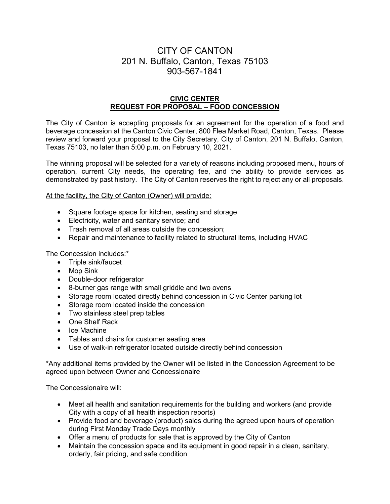# CITY OF CANTON 201 N. Buffalo, Canton, Texas 75103 903-567-1841

# **CIVIC CENTER REQUEST FOR PROPOSAL – FOOD CONCESSION**

The City of Canton is accepting proposals for an agreement for the operation of a food and beverage concession at the Canton Civic Center, 800 Flea Market Road, Canton, Texas. Please review and forward your proposal to the City Secretary, City of Canton, 201 N. Buffalo, Canton, Texas 75103, no later than 5:00 p.m. on February 10, 2021.

The winning proposal will be selected for a variety of reasons including proposed menu, hours of operation, current City needs, the operating fee, and the ability to provide services as demonstrated by past history. The City of Canton reserves the right to reject any or all proposals.

At the facility, the City of Canton (Owner) will provide:

- Square footage space for kitchen, seating and storage
- Electricity, water and sanitary service; and
- Trash removal of all areas outside the concession;
- Repair and maintenance to facility related to structural items, including HVAC

The Concession includes:\*

- Triple sink/faucet
- Mop Sink
- Double-door refrigerator
- 8-burner gas range with small griddle and two ovens
- Storage room located directly behind concession in Civic Center parking lot
- Storage room located inside the concession
- Two stainless steel prep tables
- One Shelf Rack
- Ice Machine
- Tables and chairs for customer seating area
- Use of walk-in refrigerator located outside directly behind concession

\*Any additional items provided by the Owner will be listed in the Concession Agreement to be agreed upon between Owner and Concessionaire

The Concessionaire will:

- Meet all health and sanitation requirements for the building and workers (and provide City with a copy of all health inspection reports)
- Provide food and beverage (product) sales during the agreed upon hours of operation during First Monday Trade Days monthly
- Offer a menu of products for sale that is approved by the City of Canton
- Maintain the concession space and its equipment in good repair in a clean, sanitary, orderly, fair pricing, and safe condition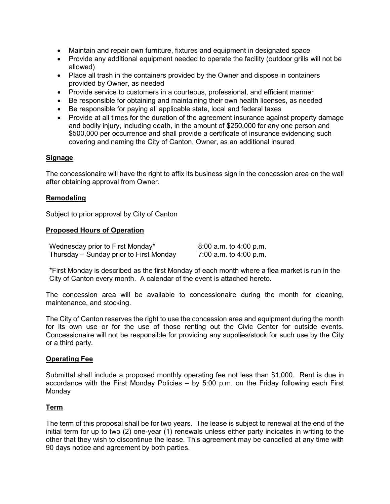- Maintain and repair own furniture, fixtures and equipment in designated space
- Provide any additional equipment needed to operate the facility (outdoor grills will not be allowed)
- Place all trash in the containers provided by the Owner and dispose in containers provided by Owner, as needed
- Provide service to customers in a courteous, professional, and efficient manner
- Be responsible for obtaining and maintaining their own health licenses, as needed
- Be responsible for paying all applicable state, local and federal taxes
- Provide at all times for the duration of the agreement insurance against property damage and bodily injury, including death, in the amount of \$250,000 for any one person and \$500,000 per occurrence and shall provide a certificate of insurance evidencing such covering and naming the City of Canton, Owner, as an additional insured

#### **Signage**

The concessionaire will have the right to affix its business sign in the concession area on the wall after obtaining approval from Owner.

# **Remodeling**

Subject to prior approval by City of Canton

#### **Proposed Hours of Operation**

| Wednesday prior to First Monday*        | 8:00 a.m. to 4:00 p.m. |
|-----------------------------------------|------------------------|
| Thursday – Sunday prior to First Monday | 7:00 a.m. to 4:00 p.m. |

\*First Monday is described as the first Monday of each month where a flea market is run in the City of Canton every month. A calendar of the event is attached hereto.

The concession area will be available to concessionaire during the month for cleaning, maintenance, and stocking.

The City of Canton reserves the right to use the concession area and equipment during the month for its own use or for the use of those renting out the Civic Center for outside events. Concessionaire will not be responsible for providing any supplies/stock for such use by the City or a third party.

#### **Operating Fee**

Submittal shall include a proposed monthly operating fee not less than \$1,000. Rent is due in accordance with the First Monday Policies – by 5:00 p.m. on the Friday following each First **Monday** 

#### **Term**

The term of this proposal shall be for two years. The lease is subject to renewal at the end of the initial term for up to two (2) one-year (1) renewals unless either party indicates in writing to the other that they wish to discontinue the lease. This agreement may be cancelled at any time with 90 days notice and agreement by both parties.